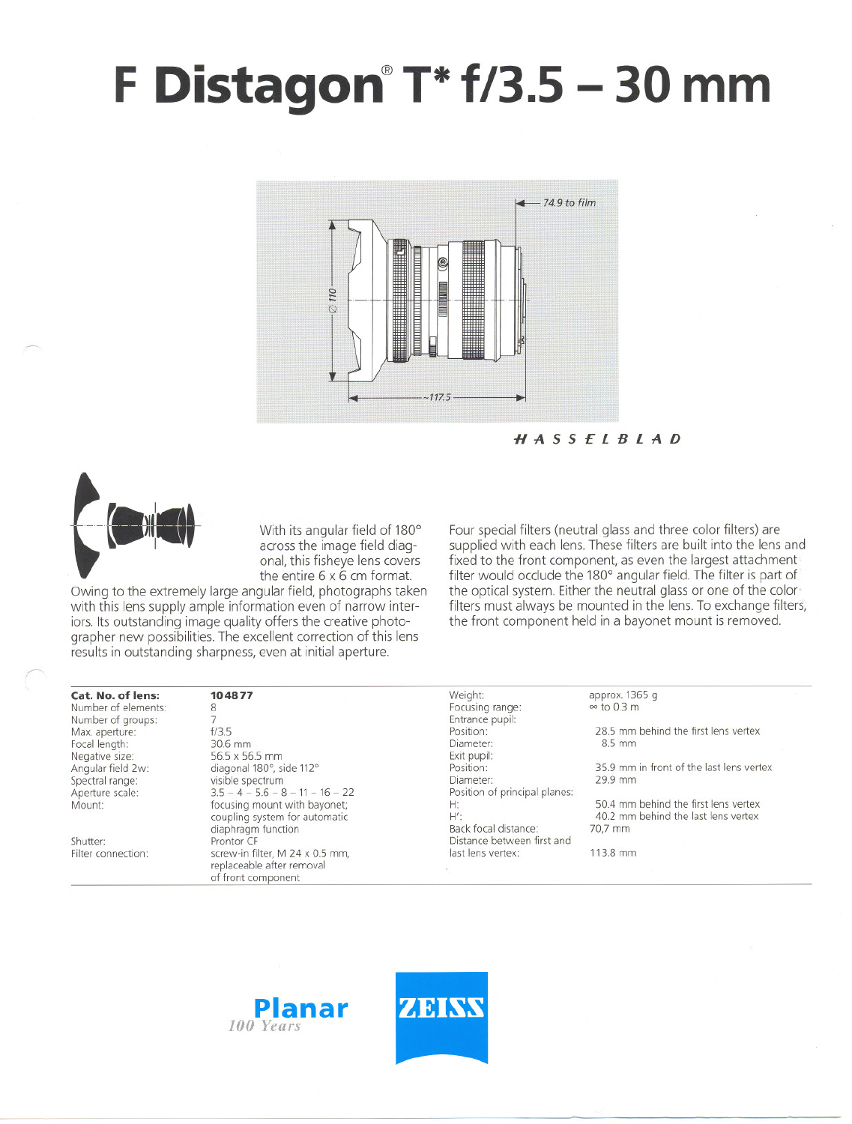## F **Distagon@T\*f/3.5 - 30 mm**



**HASSELBLAD**



With its angular field of 180° across the image field diagonal, this fisheye lens covers the entire 6 x 6 cm format.

Owing to the extremely large angular field, photographs taken with this lens supply ample information even of narrow interiors. Its outstanding image quality offers the creative photographer new possibilities. The excellent correction of this lens results in outstanding sharpness, even at initial aperture.

Four special filters (neutral glass and three color filters) are supplied with each lens. These filters are built into the lens and fixed to the front component, as even the largest attachment filter would occlude the 180° angular field. The filter is part of the optical system. Either the neutral glass or one of the color' filters must always be mounted in the lens. To exchange filters, the front component held in a bayonet mount is removed.

| Cat. No. of lens:   | 104877                                                                             | Weight:                       | approx. 1365 g                           |  |
|---------------------|------------------------------------------------------------------------------------|-------------------------------|------------------------------------------|--|
| Number of elements: | 8                                                                                  | Focusing range:               | $\infty$ to 0.3 m                        |  |
| Number of groups:   |                                                                                    | Entrance pupil:               |                                          |  |
| Max. aperture:      | f/3.5                                                                              | Position:                     | 28.5 mm behind the first lens vertex     |  |
| Focal length:       | 30.6 mm                                                                            | Diameter:                     | 8.5 mm                                   |  |
| Negative size:      | 56.5 x 56.5 mm                                                                     | Exit pupil:                   |                                          |  |
| Angular field 2w:   | diagonal 180°, side 112°                                                           | Position:                     | 35.9 mm in front of the last lens vertex |  |
| Spectral range:     | visible spectrum                                                                   | Diameter:                     | 29.9 mm                                  |  |
| Aperture scale:     | $3.5 - 4 - 5.6 - 8 - 11 - 16 - 22$                                                 | Position of principal planes: |                                          |  |
| Mount:              | focusing mount with bayonet;                                                       | Н:                            | 50.4 mm behind the first lens vertex     |  |
|                     | coupling system for automatic                                                      | $H^{\prime}$ :                | 40.2 mm behind the last lens vertex      |  |
|                     | diaphragm function                                                                 | Back focal distance:          | 70,7 mm                                  |  |
| Shutter:            | Prontor CF                                                                         | Distance between first and    |                                          |  |
| Filter connection:  | screw-in filter, M 24 x 0.5 mm,<br>replaceable after removal<br>of front component | last lens vertex:             | 113.8 mm                                 |  |